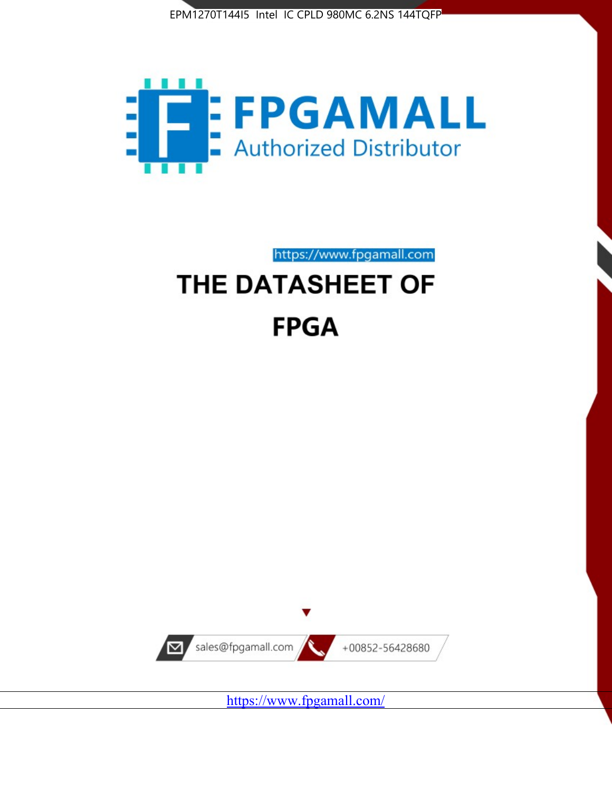



https://www.fpgamall.com

# THE DATASHEET OF **FPGA**



https://www.fpgamall.com/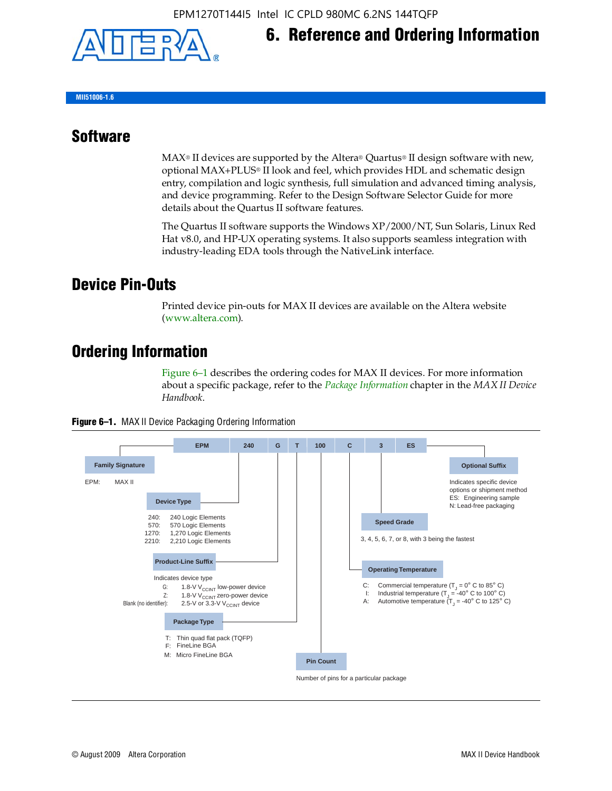

**MII51006-1.6**

#### **Software**

 $MAX<sup>®</sup>$  II devices are supported by the Altera® Quartus<sup>®</sup> II design software with new, optional MAX+PLUS® II look and feel, which provides HDL and schematic design entry, compilation and logic synthesis, full simulation and advanced timing analysis, and device programming. Refer to the Design Software Selector Guide for more details about the Quartus II software features.

**6. Reference and Ordering Information**

The Quartus II software supports the Windows XP/2000/NT, Sun Solaris, Linux Red Hat v8.0, and HP-UX operating systems. It also supports seamless integration with industry-leading EDA tools through the NativeLink interface.

#### **Device Pin-Outs**

Printed device pin-outs for MAX II devices are available on the Altera website ([www.altera.com](http://www.altera.com/)).

#### **Ordering Information**

Figure 6–1 describes the ordering codes for MAX II devices. For more information about a specific package, refer to the *[Package Information](http://www.altera.com/literature/hb/max2/max2_mii51007.pdf)* chapter in the *MAX II Device Handbook*.



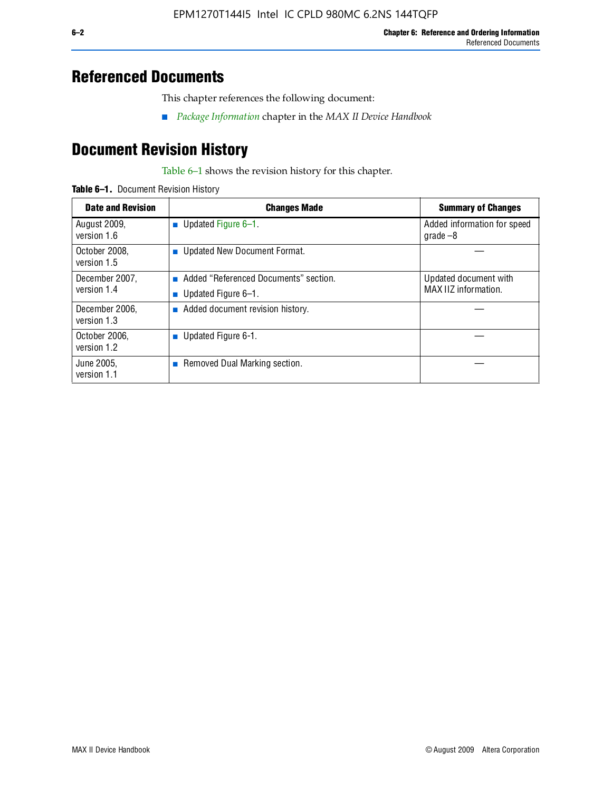#### **Referenced Documents**

This chapter references the following document:

■ *[Package Information](http://www.altera.com/literature/hb/max2/max2_mii51007.pdf)* chapter in the *MAX II Device Handbook*

## **Document Revision History**

Table 6–1 shows the revision history for this chapter.

| Table 6-1. Document Revision History |
|--------------------------------------|
|                                      |

| <b>Date and Revision</b>      | <b>Changes Made</b>                                          | <b>Summary of Changes</b>                     |
|-------------------------------|--------------------------------------------------------------|-----------------------------------------------|
| August 2009,<br>version 1.6   | Updated Figure 6-1.<br>$\sim$                                | Added information for speed<br>$q\,rad\,e-8$  |
| October 2008,<br>version 1.5  | Updated New Document Format.                                 |                                               |
| December 2007,<br>version 1.4 | Added "Referenced Documents" section.<br>Updated Figure 6-1. | Updated document with<br>MAX IIZ information. |
| December 2006,<br>version 1.3 | Added document revision history.                             |                                               |
| October 2006.<br>version 1.2  | Updated Figure 6-1.                                          |                                               |
| June 2005.<br>version 1.1     | $\blacksquare$ Removed Dual Marking section.                 |                                               |